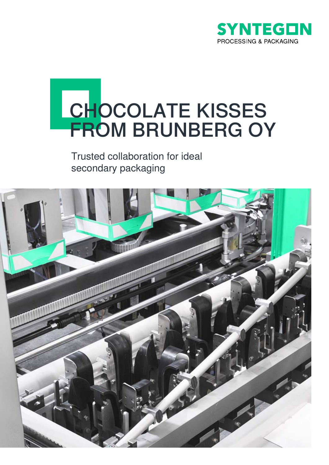

# **CHOCOLATE KISSES** FROM BRUNBERG OY

Trusted collaboration for ideal secondary packaging

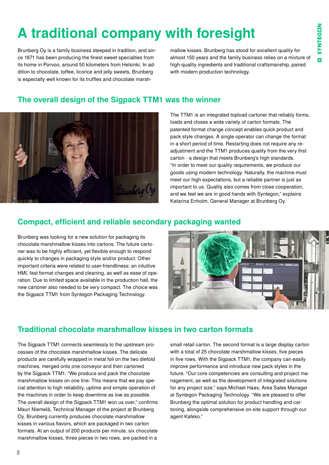## **A traditional company with foresight**

Brunberg Oy is a family business steeped in tradition, and since 1871 has been producing the finest sweet specialties from its home in Porvoo, around 50 kilometers from Helsinki. In addition to chocolate, toffee, licorice and jelly sweets, Brunberg is especially well known for its truffles and chocolate marshmallow kisses. Brunberg has stood for excellent quality for almost 150 years and the family business relies on a mixture of high-quality ingredients and traditional craftsmanship, paired with modern production technology.

#### **The overall design of the Sigpack TTM1 was the winner**



The TTM1 is an integrated topload cartoner that reliably forms, loads and closes a wide variety of carton formats. The patented format change concept enables quick product and pack style changes. A single operator can change the format in a short period of time. Restarting does not require any readjustment and the TTM1 produces quality from the very first carton - a design that meets Brunberg's high standards. "In order to meet our quality requirements, we produce our goods using modern technology. Naturally, the machine must meet our high expectations, but a reliable partner is just as important to us. Quality also comes from close cooperation, and we feel we are in good hands with Syntegon," explains Katarina Enholm, General Manager at Brunberg Oy.

#### **Compact, efficient and reliable secondary packaging wanted**

Brunberg was looking for a new solution for packaging its chocolate marshmallow kisses into cartons. The future cartoner was to be highly efficient, yet flexible enough to respond quickly to changes in packaging style and/or product. Other important criteria were related to user-friendliness: an intuitive HMI, fast format changes and cleaning, as well as ease of operation. Due to limited space available in the production hall, the new cartoner also needed to be very compact. The choice was the Sigpack TTM1 from Syntegon Packaging Technology.



#### **Traditional chocolate marshmallow kisses in two carton formats**

The Sigpack TTM1 connects seamlessly to the upstream processes of the chocolate marshmallow kisses. The delicate products are carefully wrapped in metal foil on the two diefold machines, merged onto one conveyor and then cartoned by the Sigpack TTM1. "We produce and pack the chocolate marshmallow kisses on one line. This means that we pay special attention to high reliability, uptime and simple operation of the machines in order to keep downtime as low as possible. The overall design of the Sigpack TTM1 won us over," confirms Mauri Niemelä, Technical Manager of the project at Brunberg Oy. Brunberg currently produces chocolate marshmallow kisses in various flavors, which are packaged in two carton formats. At an output of 200 products per minute, six chocolate marshmallow kisses, three pieces in two rows, are packed in a

small retail carton. The second format is a large display carton with a total of 25 chocolate marshmallow kisses, five pieces in five rows. With the Sigpack TTM1, the company can easily improve performance and introduce new pack styles in the future. "Our core competencies are consulting and project management, as well as the development of integrated solutions for any project size," says Michael Haas, Area Sales Manager at Syntegon Packaging Technology. "We are pleased to offer Brunberg the optimal solution for product handling and cartoning, alongside comprehensive on-site support through our agent Kafeko."